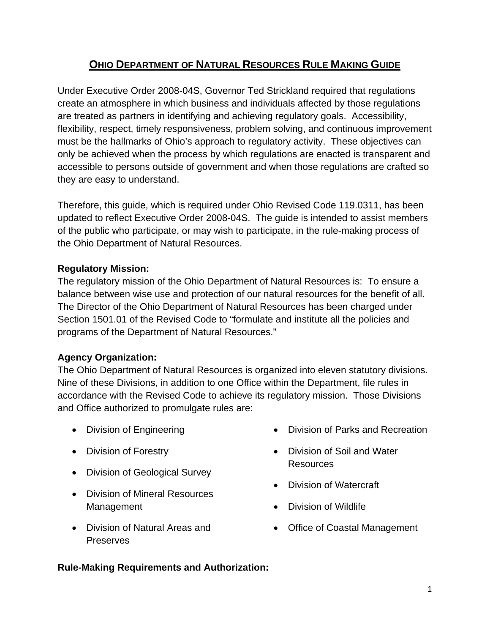# **OHIO DEPARTMENT OF NATURAL RESOURCES RULE MAKING GUIDE**

Under Executive Order 2008-04S, Governor Ted Strickland required that regulations create an atmosphere in which business and individuals affected by those regulations are treated as partners in identifying and achieving regulatory goals. Accessibility, flexibility, respect, timely responsiveness, problem solving, and continuous improvement must be the hallmarks of Ohio's approach to regulatory activity. These objectives can only be achieved when the process by which regulations are enacted is transparent and accessible to persons outside of government and when those regulations are crafted so they are easy to understand.

Therefore, this guide, which is required under Ohio Revised Code 119.0311, has been updated to reflect Executive Order 2008-04S. The guide is intended to assist members of the public who participate, or may wish to participate, in the rule-making process of the Ohio Department of Natural Resources.

## **Regulatory Mission:**

The regulatory mission of the Ohio Department of Natural Resources is: To ensure a balance between wise use and protection of our natural resources for the benefit of all. The Director of the Ohio Department of Natural Resources has been charged under Section 1501.01 of the Revised Code to "formulate and institute all the policies and programs of the Department of Natural Resources."

# **Agency Organization:**

The Ohio Department of Natural Resources is organized into eleven statutory divisions. Nine of these Divisions, in addition to one Office within the Department, file rules in accordance with the Revised Code to achieve its regulatory mission. Those Divisions and Office authorized to promulgate rules are:

- Division of Engineering
- Division of Forestry
- Division of Geological Survey
- Division of Mineral Resources Management
- Division of Natural Areas and **Preserves**
- Division of Parks and Recreation
- Division of Soil and Water Resources
- Division of Watercraft
- Division of Wildlife
- Office of Coastal Management

#### **Rule-Making Requirements and Authorization:**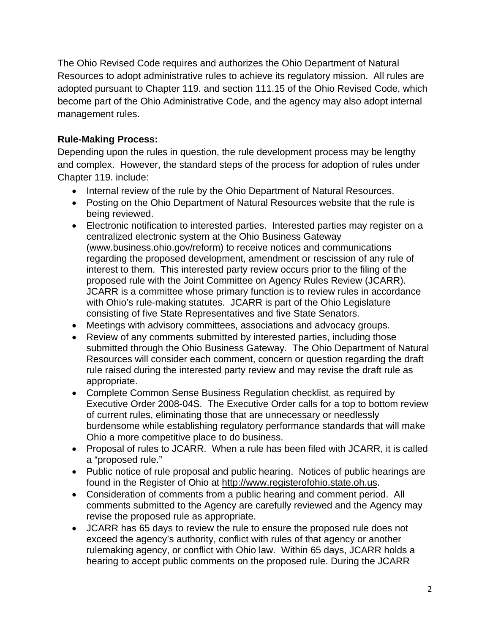The Ohio Revised Code requires and authorizes the Ohio Department of Natural Resources to adopt administrative rules to achieve its regulatory mission. All rules are adopted pursuant to Chapter 119. and section 111.15 of the Ohio Revised Code, which become part of the Ohio Administrative Code, and the agency may also adopt internal management rules.

## **Rule-Making Process:**

Depending upon the rules in question, the rule development process may be lengthy and complex. However, the standard steps of the process for adoption of rules under Chapter 119. include:

- Internal review of the rule by the Ohio Department of Natural Resources.
- Posting on the Ohio Department of Natural Resources website that the rule is being reviewed.
- Electronic notification to interested parties. Interested parties may register on a centralized electronic system at the Ohio Business Gateway (www.business.ohio.gov/reform) to receive notices and communications regarding the proposed development, amendment or rescission of any rule of interest to them. This interested party review occurs prior to the filing of the proposed rule with the Joint Committee on Agency Rules Review (JCARR). JCARR is a committee whose primary function is to review rules in accordance with Ohio's rule-making statutes. JCARR is part of the Ohio Legislature consisting of five State Representatives and five State Senators.
- Meetings with advisory committees, associations and advocacy groups.
- Review of any comments submitted by interested parties, including those submitted through the Ohio Business Gateway. The Ohio Department of Natural Resources will consider each comment, concern or question regarding the draft rule raised during the interested party review and may revise the draft rule as appropriate.
- Complete Common Sense Business Regulation checklist, as required by Executive Order 2008-04S. The Executive Order calls for a top to bottom review of current rules, eliminating those that are unnecessary or needlessly burdensome while establishing regulatory performance standards that will make Ohio a more competitive place to do business.
- Proposal of rules to JCARR. When a rule has been filed with JCARR, it is called a "proposed rule."
- Public notice of rule proposal and public hearing. Notices of public hearings are found in the Register of Ohio at http://www.registerofohio.state.oh.us.
- Consideration of comments from a public hearing and comment period. All comments submitted to the Agency are carefully reviewed and the Agency may revise the proposed rule as appropriate.
- JCARR has 65 days to review the rule to ensure the proposed rule does not exceed the agency's authority, conflict with rules of that agency or another rulemaking agency, or conflict with Ohio law. Within 65 days, JCARR holds a hearing to accept public comments on the proposed rule. During the JCARR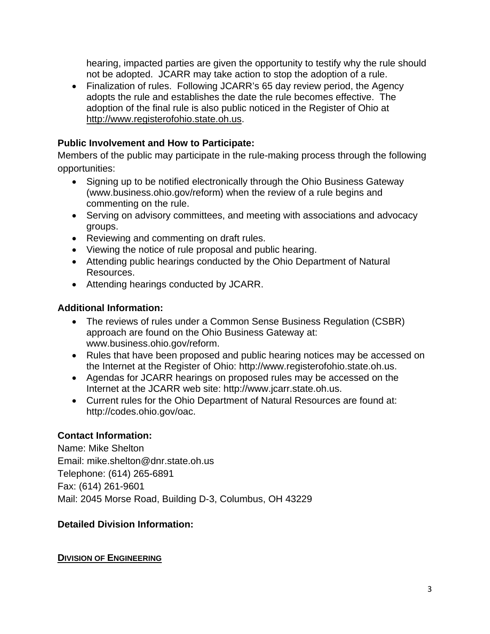hearing, impacted parties are given the opportunity to testify why the rule should not be adopted. JCARR may take action to stop the adoption of a rule.

• Finalization of rules. Following JCARR's 65 day review period, the Agency adopts the rule and establishes the date the rule becomes effective. The adoption of the final rule is also public noticed in the Register of Ohio at http://www.registerofohio.state.oh.us.

## **Public Involvement and How to Participate:**

Members of the public may participate in the rule-making process through the following opportunities:

- Signing up to be notified electronically through the Ohio Business Gateway (www.business.ohio.gov/reform) when the review of a rule begins and commenting on the rule.
- Serving on advisory committees, and meeting with associations and advocacy groups.
- Reviewing and commenting on draft rules.
- Viewing the notice of rule proposal and public hearing.
- Attending public hearings conducted by the Ohio Department of Natural Resources.
- Attending hearings conducted by JCARR.

## **Additional Information:**

- The reviews of rules under a Common Sense Business Regulation (CSBR) approach are found on the Ohio Business Gateway at: www.business.ohio.gov/reform.
- Rules that have been proposed and public hearing notices may be accessed on the Internet at the Register of Ohio: http://www.registerofohio.state.oh.us.
- Agendas for JCARR hearings on proposed rules may be accessed on the Internet at the JCARR web site: http://www.jcarr.state.oh.us.
- Current rules for the Ohio Department of Natural Resources are found at: http://codes.ohio.gov/oac.

# **Contact Information:**

Name: Mike Shelton Email: mike.shelton@dnr.state.oh.us Telephone: (614) 265-6891 Fax: (614) 261-9601 Mail: 2045 Morse Road, Building D-3, Columbus, OH 43229

# **Detailed Division Information:**

## **DIVISION OF ENGINEERING**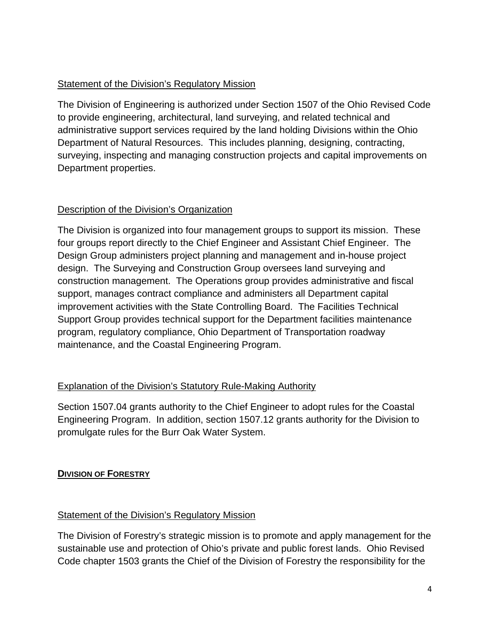## Statement of the Division's Regulatory Mission

The Division of Engineering is authorized under Section 1507 of the Ohio Revised Code to provide engineering, architectural, land surveying, and related technical and administrative support services required by the land holding Divisions within the Ohio Department of Natural Resources. This includes planning, designing, contracting, surveying, inspecting and managing construction projects and capital improvements on Department properties.

## Description of the Division's Organization

The Division is organized into four management groups to support its mission. These four groups report directly to the Chief Engineer and Assistant Chief Engineer. The Design Group administers project planning and management and in-house project design. The Surveying and Construction Group oversees land surveying and construction management. The Operations group provides administrative and fiscal support, manages contract compliance and administers all Department capital improvement activities with the State Controlling Board. The Facilities Technical Support Group provides technical support for the Department facilities maintenance program, regulatory compliance, Ohio Department of Transportation roadway maintenance, and the Coastal Engineering Program.

# Explanation of the Division's Statutory Rule-Making Authority

Section 1507.04 grants authority to the Chief Engineer to adopt rules for the Coastal Engineering Program. In addition, section 1507.12 grants authority for the Division to promulgate rules for the Burr Oak Water System.

# **DIVISION OF FORESTRY**

## Statement of the Division's Regulatory Mission

The Division of Forestry's strategic mission is to promote and apply management for the sustainable use and protection of Ohio's private and public forest lands. Ohio Revised Code chapter 1503 grants the Chief of the Division of Forestry the responsibility for the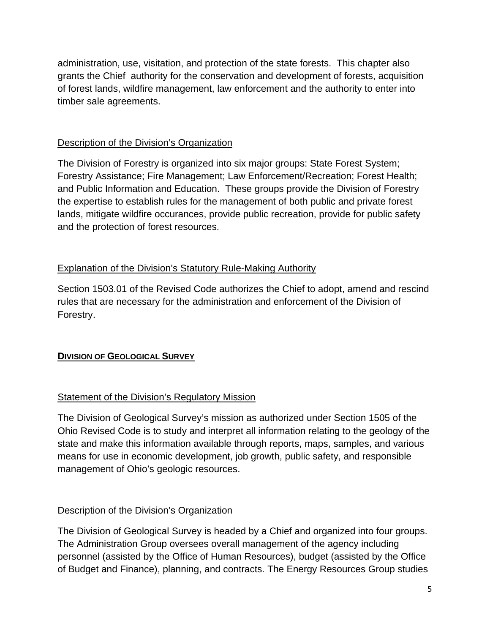administration, use, visitation, and protection of the state forests. This chapter also grants the Chief authority for the conservation and development of forests, acquisition of forest lands, wildfire management, law enforcement and the authority to enter into timber sale agreements.

## Description of the Division's Organization

The Division of Forestry is organized into six major groups: State Forest System; Forestry Assistance; Fire Management; Law Enforcement/Recreation; Forest Health; and Public Information and Education. These groups provide the Division of Forestry the expertise to establish rules for the management of both public and private forest lands, mitigate wildfire occurances, provide public recreation, provide for public safety and the protection of forest resources.

## Explanation of the Division's Statutory Rule-Making Authority

Section 1503.01 of the Revised Code authorizes the Chief to adopt, amend and rescind rules that are necessary for the administration and enforcement of the Division of Forestry.

# **DIVISION OF GEOLOGICAL SURVEY**

## Statement of the Division's Regulatory Mission

The Division of Geological Survey's mission as authorized under Section 1505 of the Ohio Revised Code is to study and interpret all information relating to the geology of the state and make this information available through reports, maps, samples, and various means for use in economic development, job growth, public safety, and responsible management of Ohio's geologic resources.

## Description of the Division's Organization

The Division of Geological Survey is headed by a Chief and organized into four groups. The Administration Group oversees overall management of the agency including personnel (assisted by the Office of Human Resources), budget (assisted by the Office of Budget and Finance), planning, and contracts. The Energy Resources Group studies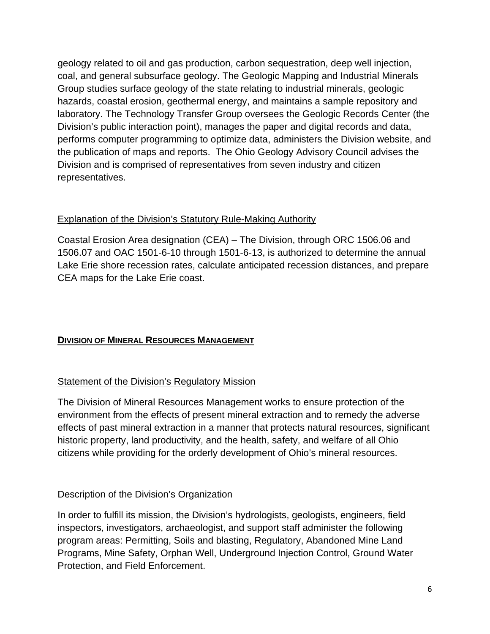geology related to oil and gas production, carbon sequestration, deep well injection, coal, and general subsurface geology. The Geologic Mapping and Industrial Minerals Group studies surface geology of the state relating to industrial minerals, geologic hazards, coastal erosion, geothermal energy, and maintains a sample repository and laboratory. The Technology Transfer Group oversees the Geologic Records Center (the Division's public interaction point), manages the paper and digital records and data, performs computer programming to optimize data, administers the Division website, and the publication of maps and reports. The Ohio Geology Advisory Council advises the Division and is comprised of representatives from seven industry and citizen representatives.

## Explanation of the Division's Statutory Rule-Making Authority

Coastal Erosion Area designation (CEA) – The Division, through ORC 1506.06 and 1506.07 and OAC 1501-6-10 through 1501-6-13, is authorized to determine the annual Lake Erie shore recession rates, calculate anticipated recession distances, and prepare CEA maps for the Lake Erie coast.

# **DIVISION OF MINERAL RESOURCES MANAGEMENT**

# Statement of the Division's Regulatory Mission

The Division of Mineral Resources Management works to ensure protection of the environment from the effects of present mineral extraction and to remedy the adverse effects of past mineral extraction in a manner that protects natural resources, significant historic property, land productivity, and the health, safety, and welfare of all Ohio citizens while providing for the orderly development of Ohio's mineral resources.

# Description of the Division's Organization

In order to fulfill its mission, the Division's hydrologists, geologists, engineers, field inspectors, investigators, archaeologist, and support staff administer the following program areas: Permitting, Soils and blasting, Regulatory, Abandoned Mine Land Programs, Mine Safety, Orphan Well, Underground Injection Control, Ground Water Protection, and Field Enforcement.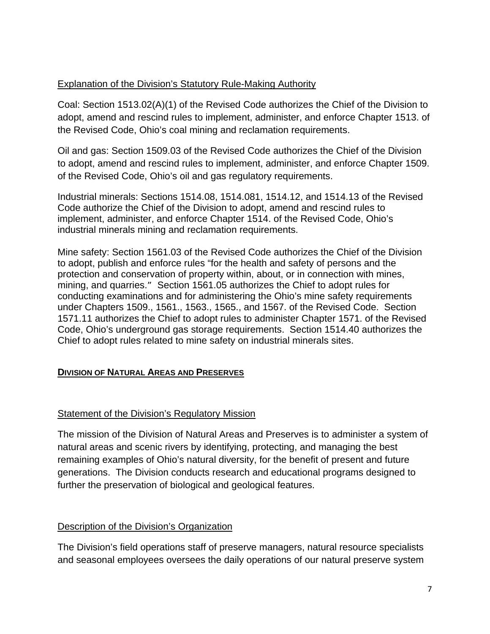## Explanation of the Division's Statutory Rule-Making Authority

Coal: Section 1513.02(A)(1) of the Revised Code authorizes the Chief of the Division to adopt, amend and rescind rules to implement, administer, and enforce Chapter 1513. of the Revised Code, Ohio's coal mining and reclamation requirements.

Oil and gas: Section 1509.03 of the Revised Code authorizes the Chief of the Division to adopt, amend and rescind rules to implement, administer, and enforce Chapter 1509. of the Revised Code, Ohio's oil and gas regulatory requirements.

Industrial minerals: Sections 1514.08, 1514.081, 1514.12, and 1514.13 of the Revised Code authorize the Chief of the Division to adopt, amend and rescind rules to implement, administer, and enforce Chapter 1514. of the Revised Code, Ohio's industrial minerals mining and reclamation requirements.

Mine safety: Section 1561.03 of the Revised Code authorizes the Chief of the Division to adopt, publish and enforce rules "for the health and safety of persons and the protection and conservation of property within, about, or in connection with mines, mining, and quarries." Section 1561.05 authorizes the Chief to adopt rules for conducting examinations and for administering the Ohio's mine safety requirements under Chapters 1509., 1561., 1563., 1565., and 1567. of the Revised Code. Section 1571.11 authorizes the Chief to adopt rules to administer Chapter 1571. of the Revised Code, Ohio's underground gas storage requirements. Section 1514.40 authorizes the Chief to adopt rules related to mine safety on industrial minerals sites.

## **DIVISION OF NATURAL AREAS AND PRESERVES**

#### Statement of the Division's Regulatory Mission

The mission of the Division of Natural Areas and Preserves is to administer a system of natural areas and scenic rivers by identifying, protecting, and managing the best remaining examples of Ohio's natural diversity, for the benefit of present and future generations. The Division conducts research and educational programs designed to further the preservation of biological and geological features.

#### Description of the Division's Organization

The Division's field operations staff of preserve managers, natural resource specialists and seasonal employees oversees the daily operations of our natural preserve system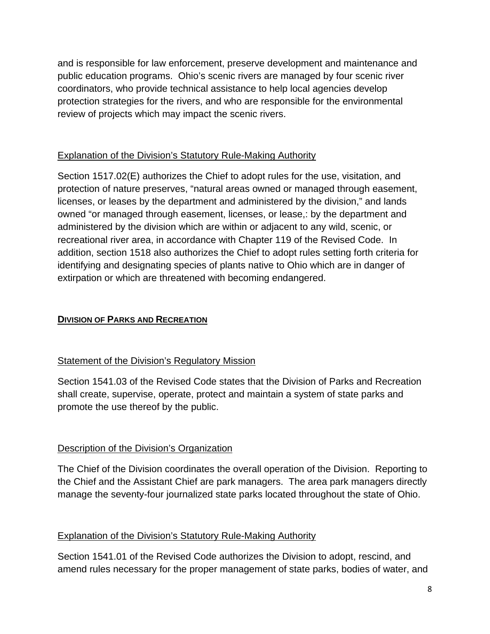and is responsible for law enforcement, preserve development and maintenance and public education programs. Ohio's scenic rivers are managed by four scenic river coordinators, who provide technical assistance to help local agencies develop protection strategies for the rivers, and who are responsible for the environmental review of projects which may impact the scenic rivers.

# Explanation of the Division's Statutory Rule-Making Authority

Section 1517.02(E) authorizes the Chief to adopt rules for the use, visitation, and protection of nature preserves, "natural areas owned or managed through easement, licenses, or leases by the department and administered by the division," and lands owned "or managed through easement, licenses, or lease,: by the department and administered by the division which are within or adjacent to any wild, scenic, or recreational river area, in accordance with Chapter 119 of the Revised Code. In addition, section 1518 also authorizes the Chief to adopt rules setting forth criteria for identifying and designating species of plants native to Ohio which are in danger of extirpation or which are threatened with becoming endangered.

# **DIVISION OF PARKS AND RECREATION**

## Statement of the Division's Regulatory Mission

Section 1541.03 of the Revised Code states that the Division of Parks and Recreation shall create, supervise, operate, protect and maintain a system of state parks and promote the use thereof by the public.

## Description of the Division's Organization

The Chief of the Division coordinates the overall operation of the Division. Reporting to the Chief and the Assistant Chief are park managers. The area park managers directly manage the seventy-four journalized state parks located throughout the state of Ohio.

## Explanation of the Division's Statutory Rule-Making Authority

Section 1541.01 of the Revised Code authorizes the Division to adopt, rescind, and amend rules necessary for the proper management of state parks, bodies of water, and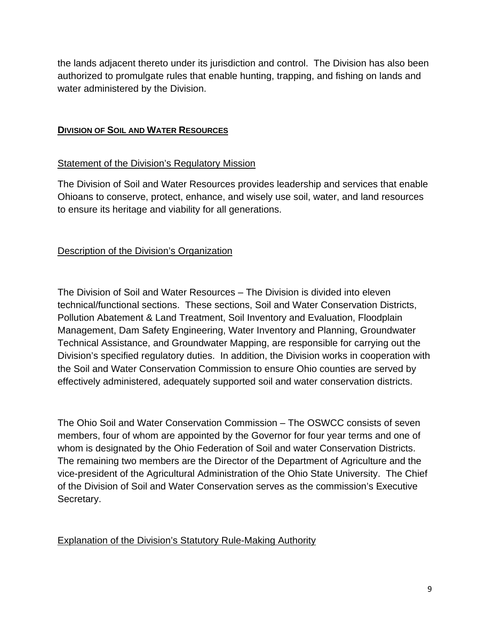the lands adjacent thereto under its jurisdiction and control. The Division has also been authorized to promulgate rules that enable hunting, trapping, and fishing on lands and water administered by the Division.

#### **DIVISION OF SOIL AND WATER RESOURCES**

#### Statement of the Division's Regulatory Mission

The Division of Soil and Water Resources provides leadership and services that enable Ohioans to conserve, protect, enhance, and wisely use soil, water, and land resources to ensure its heritage and viability for all generations.

## Description of the Division's Organization

The Division of Soil and Water Resources – The Division is divided into eleven technical/functional sections. These sections, Soil and Water Conservation Districts, Pollution Abatement & Land Treatment, Soil Inventory and Evaluation, Floodplain Management, Dam Safety Engineering, Water Inventory and Planning, Groundwater Technical Assistance, and Groundwater Mapping, are responsible for carrying out the Division's specified regulatory duties. In addition, the Division works in cooperation with the Soil and Water Conservation Commission to ensure Ohio counties are served by effectively administered, adequately supported soil and water conservation districts.

The Ohio Soil and Water Conservation Commission – The OSWCC consists of seven members, four of whom are appointed by the Governor for four year terms and one of whom is designated by the Ohio Federation of Soil and water Conservation Districts. The remaining two members are the Director of the Department of Agriculture and the vice-president of the Agricultural Administration of the Ohio State University. The Chief of the Division of Soil and Water Conservation serves as the commission's Executive Secretary.

## Explanation of the Division's Statutory Rule-Making Authority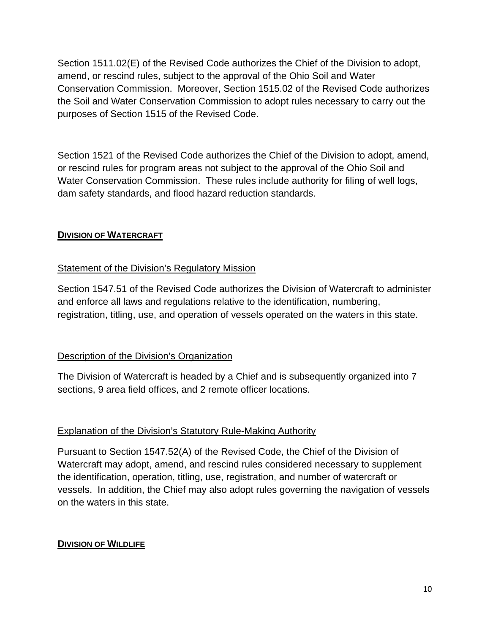Section 1511.02(E) of the Revised Code authorizes the Chief of the Division to adopt, amend, or rescind rules, subject to the approval of the Ohio Soil and Water Conservation Commission. Moreover, Section 1515.02 of the Revised Code authorizes the Soil and Water Conservation Commission to adopt rules necessary to carry out the purposes of Section 1515 of the Revised Code.

Section 1521 of the Revised Code authorizes the Chief of the Division to adopt, amend, or rescind rules for program areas not subject to the approval of the Ohio Soil and Water Conservation Commission. These rules include authority for filing of well logs, dam safety standards, and flood hazard reduction standards.

## **DIVISION OF WATERCRAFT**

## Statement of the Division's Regulatory Mission

Section 1547.51 of the Revised Code authorizes the Division of Watercraft to administer and enforce all laws and regulations relative to the identification, numbering, registration, titling, use, and operation of vessels operated on the waters in this state.

# Description of the Division's Organization

The Division of Watercraft is headed by a Chief and is subsequently organized into 7 sections, 9 area field offices, and 2 remote officer locations.

## Explanation of the Division's Statutory Rule-Making Authority

Pursuant to Section 1547.52(A) of the Revised Code, the Chief of the Division of Watercraft may adopt, amend, and rescind rules considered necessary to supplement the identification, operation, titling, use, registration, and number of watercraft or vessels. In addition, the Chief may also adopt rules governing the navigation of vessels on the waters in this state.

# **DIVISION OF WILDLIFE**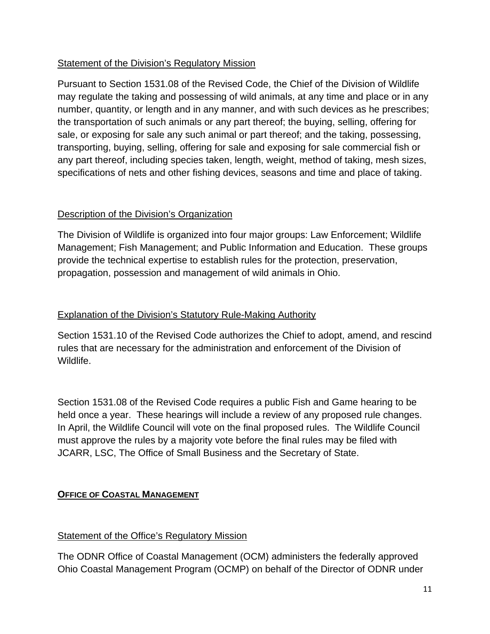# Statement of the Division's Regulatory Mission

Pursuant to Section 1531.08 of the Revised Code, the Chief of the Division of Wildlife may regulate the taking and possessing of wild animals, at any time and place or in any number, quantity, or length and in any manner, and with such devices as he prescribes; the transportation of such animals or any part thereof; the buying, selling, offering for sale, or exposing for sale any such animal or part thereof; and the taking, possessing, transporting, buying, selling, offering for sale and exposing for sale commercial fish or any part thereof, including species taken, length, weight, method of taking, mesh sizes, specifications of nets and other fishing devices, seasons and time and place of taking.

## Description of the Division's Organization

The Division of Wildlife is organized into four major groups: Law Enforcement; Wildlife Management; Fish Management; and Public Information and Education. These groups provide the technical expertise to establish rules for the protection, preservation, propagation, possession and management of wild animals in Ohio.

## Explanation of the Division's Statutory Rule-Making Authority

Section 1531.10 of the Revised Code authorizes the Chief to adopt, amend, and rescind rules that are necessary for the administration and enforcement of the Division of Wildlife.

Section 1531.08 of the Revised Code requires a public Fish and Game hearing to be held once a year. These hearings will include a review of any proposed rule changes. In April, the Wildlife Council will vote on the final proposed rules. The Wildlife Council must approve the rules by a majority vote before the final rules may be filed with JCARR, LSC, The Office of Small Business and the Secretary of State.

# **OFFICE OF COASTAL MANAGEMENT**

## Statement of the Office's Regulatory Mission

The ODNR Office of Coastal Management (OCM) administers the federally approved Ohio Coastal Management Program (OCMP) on behalf of the Director of ODNR under